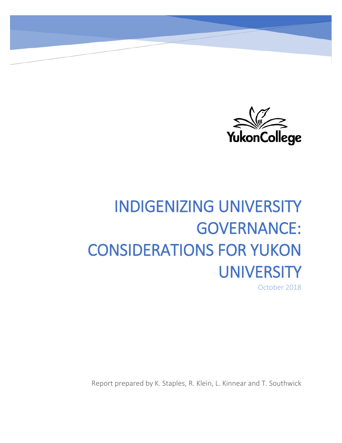

# INDIGENIZING UNIVERSITY GOVERNANCE: CONSIDERATIONS FOR YUKON **UNIVERSITY**

October 2018

Report prepared by K. Staples, R. Klein, L. Kinnear and T. Southwick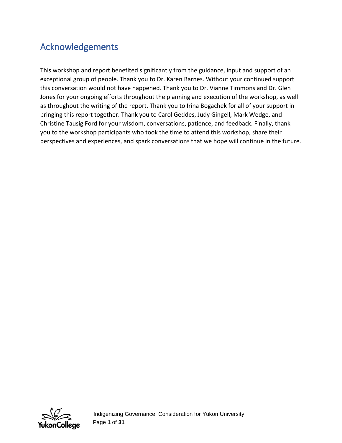# Acknowledgements

This workshop and report benefited significantly from the guidance, input and support of an exceptional group of people. Thank you to Dr. Karen Barnes. Without your continued support this conversation would not have happened. Thank you to Dr. Vianne Timmons and Dr. Glen Jones for your ongoing efforts throughout the planning and execution of the workshop, as well as throughout the writing of the report. Thank you to Irina Bogachek for all of your support in bringing this report together. Thank you to Carol Geddes, Judy Gingell, Mark Wedge, and Christine Tausig Ford for your wisdom, conversations, patience, and feedback. Finally, thank you to the workshop participants who took the time to attend this workshop, share their perspectives and experiences, and spark conversations that we hope will continue in the future.



 Page **1** of **31**  Indigenizing Governance: Consideration for Yukon University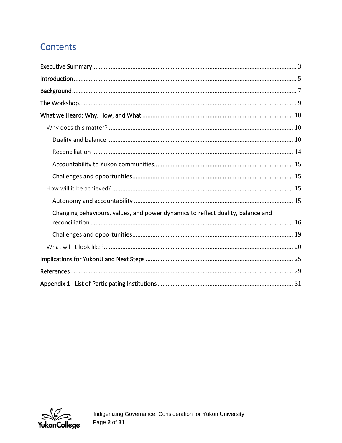# Contents

| Changing behaviours, values, and power dynamics to reflect duality, balance and |
|---------------------------------------------------------------------------------|
|                                                                                 |
|                                                                                 |
|                                                                                 |
|                                                                                 |
|                                                                                 |
|                                                                                 |

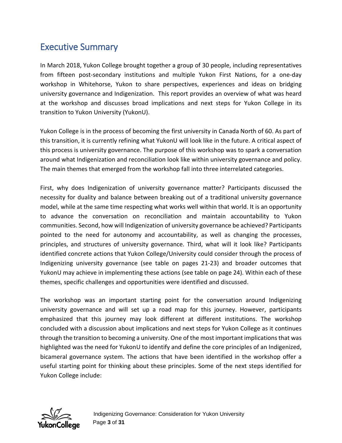# <span id="page-3-0"></span>Executive Summary

In March 2018, Yukon College brought together a group of 30 people, including representatives from fifteen post-secondary institutions and multiple Yukon First Nations, for a one-day workshop in Whitehorse, Yukon to share perspectives, experiences and ideas on bridging university governance and Indigenization. This report provides an overview of what was heard at the workshop and discusses broad implications and next steps for Yukon College in its transition to Yukon University (YukonU).

Yukon College is in the process of becoming the first university in Canada North of 60. As part of this transition, it is currently refining what YukonU will look like in the future. A critical aspect of this process is university governance. The purpose of this workshop was to spark a conversation around what Indigenization and reconciliation look like within university governance and policy. The main themes that emerged from the workshop fall into three interrelated categories.

First, why does Indigenization of university governance matter? Participants discussed the necessity for duality and balance between breaking out of a traditional university governance model, while at the same time respecting what works well within that world. It is an opportunity to advance the conversation on reconciliation and maintain accountability to Yukon communities. Second, how will Indigenization of university governance be achieved? Participants pointed to the need for autonomy and accountability, as well as changing the processes, principles, and structures of university governance. Third, what will it look like? Participants identified concrete actions that Yukon College/University could consider through the process of Indigenizing university governance (see table on pages 21-23) and broader outcomes that YukonU may achieve in implementing these actions (see table on page 24). Within each of these themes, specific challenges and opportunities were identified and discussed.

The workshop was an important starting point for the conversation around Indigenizing university governance and will set up a road map for this journey. However, participants emphasized that this journey may look different at different institutions. The workshop concluded with a discussion about implications and next steps for Yukon College as it continues through the transition to becoming a university. One of the most important implications that was highlighted was the need for YukonU to identify and define the core principles of an Indigenized, bicameral governance system. The actions that have been identified in the workshop offer a useful starting point for thinking about these principles. Some of the next steps identified for Yukon College include:

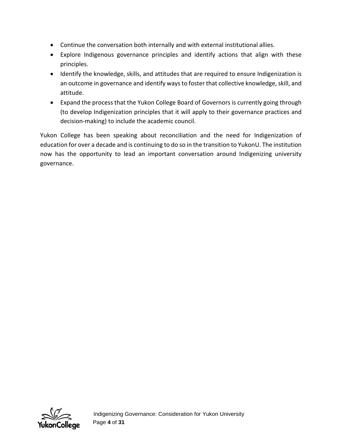- Continue the conversation both internally and with external institutional allies.
- Explore Indigenous governance principles and identify actions that align with these principles.
- Identify the knowledge, skills, and attitudes that are required to ensure Indigenization is an outcome in governance and identify ways to foster that collective knowledge, skill, and attitude.
- Expand the process that the Yukon College Board of Governors is currently going through (to develop Indigenization principles that it will apply to their governance practices and decision-making) to include the academic council.

Yukon College has been speaking about reconciliation and the need for Indigenization of education for over a decade and is continuing to do so in the transition to YukonU. The institution now has the opportunity to lead an important conversation around Indigenizing university governance.

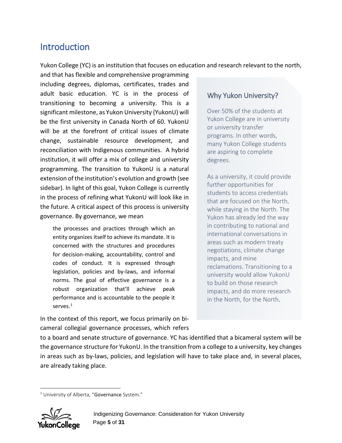## <span id="page-5-0"></span>**Introduction**

Yukon College (YC) is an institution that focuses on education and research relevant to the north,

and that has flexible and comprehensive programming including degrees, diplomas, certificates, trades and adult basic education. YC is in the process of transitioning to becoming a university. This is a significant milestone, as Yukon University (YukonU) will be the first university in Canada North of 60. YukonU will be at the forefront of critical issues of climate change, sustainable resource development, and reconciliation with Indigenous communities. A hybrid institution, it will offer a mix of college and university programming. The transition to YukonU is a natural extension of the institution's evolution and growth (see sidebar). In light of this goal, Yukon College is currently in the process of refining what YukonU will look like in the future. A critical aspect of this process is university governance. By governance, we mean

the processes and practices through which an entity organizes itself to achieve its mandate. It is concerned with the structures and procedures for decision-making, accountability, control and codes of conduct. It is expressed through legislation, policies and by-laws, and informal norms. The goal of effective governance is a robust organization that'll achieve peak performance and is accountable to the people it serves.[1](#page-5-1)

In the context of this report, we focus primarily on bicameral collegial governance processes, which refers

#### Why Yukon University?

Over 50% of the students at Yukon College are in university or university transfer programs. In other words, many Yukon College students are aspiring to complete degrees.

As a university, it could provide further opportunities for students to access credentials that are focused on the North, while staying in the North. The Yukon has already led the way in contributing to national and international conversations in areas such as modern treaty negotiations, climate change impacts, and mine reclamations. Transitioning to a university would allow YukonU to build on those research impacts, and do more research in the North, for the North.

to a board and senate structure of governance. YC has identified that a bicameral system will be the governance structure for YukonU. In the transition from a college to a university, key changes in areas such as by-laws, policies, and legislation will have to take place and, in several places, are already taking place.

<span id="page-5-1"></span> $\ddot{\phantom{a}}$  $1$  University of Alberta, "Governance System."

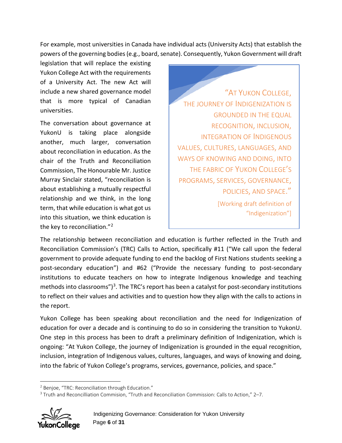For example, most universities in Canada have individual acts (University Acts) that establish the powers of the governing bodies (e.g., board, senate). Consequently, Yukon Government will draft

legislation that will replace the existing Yukon College Act with the requirements of a University Act. The new Act will include a new shared governance model that is more typical of Canadian universities.

The conversation about governance at YukonU is taking place alongside another, much larger, conversation about reconciliation in education. As the chair of the Truth and Reconciliation Commission, The Honourable Mr. Justice Murray Sinclair stated, "reconciliation is about establishing a mutually respectful relationship and we think, in the long term, that while education is what got us into this situation, we think education is the key to reconciliation."[2](#page-6-0)

"AT YUKON COLLEGE, THE JOURNEY OF INDIGENIZATION IS GROUNDED IN THE EQUAL RECOGNITION, INCLUSION, INTEGRATION OF INDIGENOUS VALUES, CULTURES, LANGUAGES, AND WAYS OF KNOWING AND DOING, INTO THE FABRIC OF YUKON COLLEGE'S PROGRAMS, SERVICES, GOVERNANCE, POLICIES, AND SPACE." [Working draft definition of "Indigenization"]

The relationship between reconciliation and education is further reflected in the Truth and Reconciliation Commission's (TRC) Calls to Action, specifically #11 ("We call upon the federal government to provide adequate funding to end the backlog of First Nations students seeking a post-secondary education") and #62 ("Provide the necessary funding to post-secondary institutions to educate teachers on how to integrate Indigenous knowledge and teaching methods into classrooms" $^3$  $^3$ . The TRC's report has been a catalyst for post-secondary institutions to reflect on their values and activities and to question how they align with the calls to actions in the report.

Yukon College has been speaking about reconciliation and the need for Indigenization of education for over a decade and is continuing to do so in considering the transition to YukonU. One step in this process has been to draft a preliminary definition of Indigenization, which is ongoing: "At Yukon College, the journey of Indigenization is grounded in the equal recognition, inclusion, integration of Indigenous values, cultures, languages, and ways of knowing and doing, into the fabric of Yukon College's programs, services, governance, policies, and space."

<span id="page-6-1"></span><span id="page-6-0"></span><sup>&</sup>lt;sup>3</sup> Truth and Reconcilliation Commision, "Truth and Reconciliation Commission: Calls to Action," 2-7.



 $\overline{a}$ 

<sup>&</sup>lt;sup>2</sup> Benjoe, "TRC: Reconciliation through Education."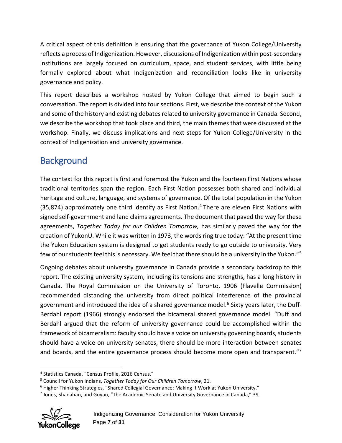A critical aspect of this definition is ensuring that the governance of Yukon College/University reflects a process of Indigenization. However, discussions of Indigenization within post-secondary institutions are largely focused on curriculum, space, and student services, with little being formally explored about what Indigenization and reconciliation looks like in university governance and policy.

This report describes a workshop hosted by Yukon College that aimed to begin such a conversation. The report is divided into four sections. First, we describe the context of the Yukon and some of the history and existing debates related to university governance in Canada. Second, we describe the workshop that took place and third, the main themes that were discussed at the workshop. Finally, we discuss implications and next steps for Yukon College/University in the context of Indigenization and university governance.

# <span id="page-7-0"></span>**Background**

The context for this report is first and foremost the Yukon and the fourteen First Nations whose traditional territories span the region. Each First Nation possesses both shared and individual heritage and culture, language, and systems of governance. Of the total population in the Yukon  $(35,874)$  $(35,874)$  $(35,874)$  approximately one third identify as First Nation.<sup>4</sup> There are eleven First Nations with signed self-government and land claims agreements. The document that paved the way for these agreements, *Together Today for our Children Tomorrow,* has similarly paved the way for the creation of YukonU. While it was written in 1973, the words ring true today: "At the present time the Yukon Education system is designed to get students ready to go outside to university. Very few of our students feel this is necessary. We feel that there should be a university in the Yukon."[5](#page-7-2)

Ongoing debates about university governance in Canada provide a secondary backdrop to this report. The existing university system, including its tensions and strengths, has a long history in Canada. The Royal Commission on the University of Toronto, 1906 (Flavelle Commission) recommended distancing the university from direct political interference of the provincial government and introduced the idea of a shared governance model.<sup>[6](#page-7-3)</sup> Sixty years later, the Duff-Berdahl report (1966) strongly endorsed the bicameral shared governance model. "Duff and Berdahl argued that the reform of university governance could be accomplished within the framework of bicameralism: faculty should have a voice on university governing boards, students should have a voice on university senates, there should be more interaction between senates and boards, and the entire governance process should become more open and transparent."<sup>[7](#page-7-4)</sup>

<span id="page-7-4"></span><span id="page-7-3"></span><span id="page-7-2"></span> $<sup>7</sup>$  Jones, Shanahan, and Goyan, "The Academic Senate and University Governance in Canada," 39.</sup>



<span id="page-7-1"></span> $\overline{a}$ <sup>4</sup> Statistics Canada, "Census Profile, 2016 Census."

<sup>5</sup> Council for Yukon Indians, *Together Today for Our Children Tomorrow*, 21.

<sup>6</sup> Higher Thinking Strategies, "Shared Collegial Governance: Making It Work at Yukon University."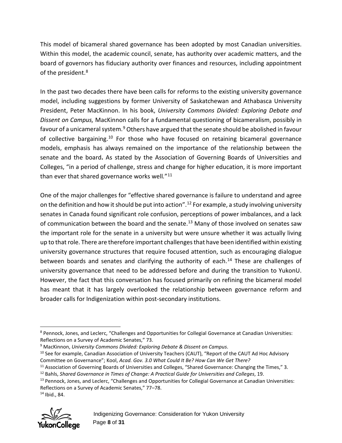This model of bicameral shared governance has been adopted by most Canadian universities. Within this model, the academic council, senate, has authority over academic matters, and the board of governors has fiduciary authority over finances and resources, including appointment of the president.<sup>[8](#page-8-0)</sup>

In the past two decades there have been calls for reforms to the existing university governance model, including suggestions by former University of Saskatchewan and Athabasca University President, Peter MacKinnon. In his book, *University Commons Divided: Exploring Debate and Dissent on Campus,* MacKinnon calls for a fundamental questioning of bicameralism, possibly in favour of a unicameral system.<sup>[9](#page-8-1)</sup> Others have argued that the senate should be abolished in favour of collective bargaining.<sup>[10](#page-8-2)</sup> For those who have focused on retaining bicameral governance models, emphasis has always remained on the importance of the relationship between the senate and the board**.** As stated by the Association of Governing Boards of Universities and Colleges, "in a period of challenge, stress and change for higher education, it is more important than ever that shared governance works well*.*"[11](#page-8-3)

One of the major challenges for "effective shared governance is failure to understand and agree on the definition and how it should be put into action".<sup>[12](#page-8-4)</sup> For example, a study involving university senates in Canada found significant role confusion, perceptions of power imbalances, and a lack of communication between the board and the senate.<sup>[13](#page-8-5)</sup> Many of those involved on senates saw the important role for the senate in a university but were unsure whether it was actually living up to that role. There are therefore important challengesthat have been identified within existing university governance structures that require focused attention, such as encouraging dialogue between boards and senates and clarifying the authority of each.<sup>[14](#page-8-6)</sup> These are challenges of university governance that need to be addressed before and during the transition to YukonU. However, the fact that this conversation has focused primarily on refining the bicameral model has meant that it has largely overlooked the relationship between governance reform and broader calls for Indigenization within post-secondary institutions.

<span id="page-8-6"></span><span id="page-8-5"></span><sup>14</sup> Ibid., 84.



<span id="page-8-0"></span> $\ddot{\phantom{a}}$ <sup>8</sup> Pennock, Jones, and Leclerc, "Challenges and Opportunities for Collegial Governance at Canadian Universities: Reflections on a Survey of Academic Senates," 73.

<span id="page-8-1"></span><sup>9</sup> MacKinnon, *University Commons Divided: Exploring Debate & Dissent on Campus*.

<span id="page-8-2"></span><sup>&</sup>lt;sup>10</sup> See for example, Canadian Association of University Teachers (CAUT), "Report of the CAUT Ad Hoc Advisory Committee on Governance"; Kool, *Acad. Gov. 3.0 What Could It Be? How Can We Get There?*

<span id="page-8-3"></span><sup>&</sup>lt;sup>11</sup> Association of Governing Boards of Universities and Colleges, "Shared Governance: Changing the Times," 3.

<span id="page-8-4"></span><sup>12</sup> Bahls, *Shared Governance in Times of Change: A Practical Guide for Universities and Colleges*, 19.

<sup>&</sup>lt;sup>13</sup> Pennock, Jones, and Leclerc, "Challenges and Opportunities for Collegial Governance at Canadian Universities: Reflections on a Survey of Academic Senates," 77–78.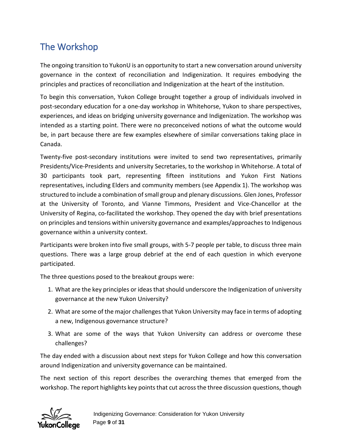# <span id="page-9-0"></span>The Workshop

The ongoing transition to YukonU is an opportunity to start a new conversation around university governance in the context of reconciliation and Indigenization. It requires embodying the principles and practices of reconciliation and Indigenization at the heart of the institution.

To begin this conversation, Yukon College brought together a group of individuals involved in post-secondary education for a one-day workshop in Whitehorse, Yukon to share perspectives, experiences, and ideas on bridging university governance and Indigenization. The workshop was intended as a starting point. There were no preconceived notions of what the outcome would be, in part because there are few examples elsewhere of similar conversations taking place in Canada.

Twenty-five post-secondary institutions were invited to send two representatives, primarily Presidents/Vice-Presidents and university Secretaries, to the workshop in Whitehorse. A total of 30 participants took part, representing fifteen institutions and Yukon First Nations representatives, including Elders and community members (see Appendix 1). The workshop was structured to include a combination of small group and plenary discussions. Glen Jones, Professor at the University of Toronto, and Vianne Timmons, President and Vice-Chancellor at the University of Regina, co-facilitated the workshop. They opened the day with brief presentations on principles and tensions within university governance and examples/approaches to Indigenous governance within a university context.

Participants were broken into five small groups, with 5-7 people per table, to discuss three main questions. There was a large group debrief at the end of each question in which everyone participated.

The three questions posed to the breakout groups were:

- 1. What are the key principles or ideas that should underscore the Indigenization of university governance at the new Yukon University?
- 2. What are some of the major challenges that Yukon University may face in terms of adopting a new, Indigenous governance structure?
- 3. What are some of the ways that Yukon University can address or overcome these challenges?

The day ended with a discussion about next steps for Yukon College and how this conversation around Indigenization and university governance can be maintained.

The next section of this report describes the overarching themes that emerged from the workshop. The report highlights key points that cut across the three discussion questions, though

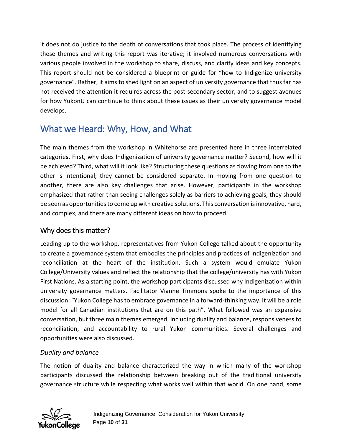it does not do justice to the depth of conversations that took place. The process of identifying these themes and writing this report was iterative; it involved numerous conversations with various people involved in the workshop to share, discuss, and clarify ideas and key concepts. This report should not be considered a blueprint or guide for "how to Indigenize university governance". Rather, it aims to shed light on an aspect of university governance that thus far has not received the attention it requires across the post-secondary sector, and to suggest avenues for how YukonU can continue to think about these issues as their university governance model develops.

# <span id="page-10-0"></span>What we Heard: Why, How, and What

The main themes from the workshop in Whitehorse are presented here in three interrelated categorie**s.** First, why does Indigenization of university governance matter? Second, how will it be achieved? Third, what will it look like? Structuring these questions as flowing from one to the other is intentional; they cannot be considered separate. In moving from one question to another, there are also key challenges that arise. However, participants in the workshop emphasized that rather than seeing challenges solely as barriers to achieving goals, they should be seen as opportunities to come up with creative solutions. This conversation is innovative, hard, and complex, and there are many different ideas on how to proceed.

## <span id="page-10-1"></span>Why does this matter?

Leading up to the workshop, representatives from Yukon College talked about the opportunity to create a governance system that embodies the principles and practices of Indigenization and reconciliation at the heart of the institution. Such a system would emulate Yukon College/University values and reflect the relationship that the college/university has with Yukon First Nations. As a starting point, the workshop participants discussed why Indigenization within university governance matters. Facilitator Vianne Timmons spoke to the importance of this discussion: "Yukon College has to embrace governance in a forward-thinking way. It will be a role model for all Canadian institutions that are on this path". What followed was an expansive conversation, but three main themes emerged, including duality and balance, responsiveness to reconciliation, and accountability to rural Yukon communities. Several challenges and opportunities were also discussed.

#### <span id="page-10-2"></span>*Duality and balance*

The notion of duality and balance characterized the way in which many of the workshop participants discussed the relationship between breaking out of the traditional university governance structure while respecting what works well within that world. On one hand, some

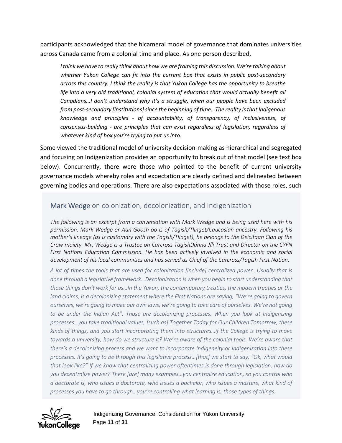participants acknowledged that the bicameral model of governance that dominates universities across Canada came from a colonial time and place. As one person described,

*I think we have to really think about how we are framing this discussion. We're talking about whether Yukon College can fit into the current box that exists in public post-secondary across this country. I think the reality is that Yukon College has the opportunity to breathe life into a very old traditional, colonial system of education that would actually benefit all Canadians…I don't understand why it's a struggle, when our people have been excluded from post-secondary [institutions] since the beginning of time…The reality is that Indigenous knowledge and principles - of accountability, of transparency, of inclusiveness, of consensus-building - are principles that can exist regardless of legislation, regardless of whatever kind of box you're trying to put us into.*

Some viewed the traditional model of university decision-making as hierarchical and segregated and focusing on Indigenization provides an opportunity to break out of that model (see text box below). Concurrently, there were those who pointed to the benefit of current university governance models whereby roles and expectation are clearly defined and delineated between governing bodies and operations. There are also expectations associated with those roles, such

#### Mark Wedge on colonization, decolonization, and Indigenization

*The following is an excerpt from a conversation with Mark Wedge and is being used here with his permission. Mark Wedge or Aan Goosh oo is of Tagish/Tlinget/Caucasian ancestry. Following his mother's lineage (as is customary with the Tagish/Tlinget), he belongs to the Deicitaan Clan of the Crow moiety. Mr. Wedge is a Trustee on Carcross TagishDánna Jíli Trust and Director on the CYFN*  First Nations Education Commission. He has been actively involved in the economic and social *development of his local communities and has served as Chief of the Carcross/Tagish First Nation*.

*A lot of times the tools that are used for colonization [include] centralized power…Usually that is done through a legislative framework…Decolonization is when you begin to start understanding that those things don't work for us…In the Yukon, the contemporary treaties, the modern treaties or the land claims, is a decolonizing statement where the First Nations are saying, "We're going to govern ourselves, we're going to make our own laws, we're going to take care of ourselves. We're not going*  to be under the Indian Act". Those are decolonizing processes. When you look at Indigenizing *processes…you take traditional values, [such as] Together Today for Our Children Tomorrow, these kinds of things, and you start incorporating them into structures…if the College is trying to move towards a university, how do we structure it? We're aware of the colonial tools. We're aware that there's a decolonizing process and we want to incorporate Indigeneity or Indigenization into these processes. It's going to be through this legislative process…[that] we start to say, "Ok, what would that look like?" If we know that centralizing power oftentimes is done through legislation, how do you decentralize power? There [are] many examples…you centralize education, so you control who a doctorate is, who issues a doctorate, who issues a bachelor, who issues a masters, what kind of processes you have to go through…you're controlling what learning is, those types of things.*

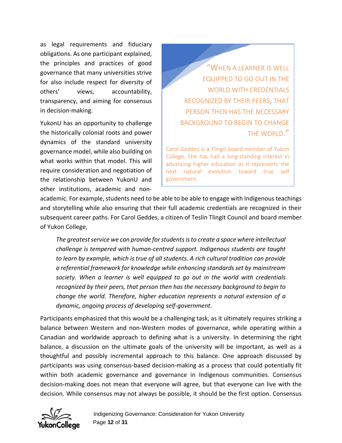as legal requirements and fiduciary obligations. As one participant explained, the principles and practices of good governance that many universities strive for also include respect for diversity of others' views, accountability, transparency, and aiming for consensus in decision-making.

YukonU has an opportunity to challenge the historically colonial roots and power dynamics of the standard university governance model, while also building on what works within that model. This will require consideration and negotiation of the relationship between YukonU and other institutions, academic and non-

"WHEN A LEARNER IS WELL EQUIPPED TO GO OUT IN THE WORLD WITH CREDENTIALS RECOGNIZED BY THEIR PEERS, THAT PERSON THEN HAS THE NECESSARY BACKGROUND TO BEGIN TO CHANGE THE WORLD."

Carol Geddes is a Tlingit board member of Yukon College. She has had a long-standing interest in advancing higher education as it represents the next natural evolution toward true self government.

academic. For example, students need to be able to be able to engage with Indigenous teachings and storytelling while also ensuring that their full academic credentials are recognized in their subsequent career paths. For Carol Geddes, a citizen of Teslin Tlingit Council and board member of Yukon College,

*The greatest service we can provide for students is to create a space where intellectual challenge is tempered with human-centred support. Indigenous students are taught to learn by example, which is true of all students. A rich cultural tradition can provide a referential framework for knowledge while enhancing standards set by mainstream society. When a learner is well equipped to go out in the world with credentials recognized by their peers, that person then has the necessary background to begin to change the world. Therefore, higher education represents a natural extension of a dynamic, ongoing process of developing self-government.*

Participants emphasized that this would be a challenging task, as it ultimately requires striking a balance between Western and non-Western modes of governance, while operating within a Canadian and worldwide approach to defining what is a university. In determining the right balance, a discussion on the ultimate goals of the university will be important, as well as a thoughtful and possibly incremental approach to this balance. One approach discussed by participants was using consensus-based decision-making as a process that could potentially fit within both academic governance and governance in Indigenous communities. Consensus decision-making does not mean that everyone will agree, but that everyone can live with the decision. While consensus may not always be possible, it should be the first option. Consensus

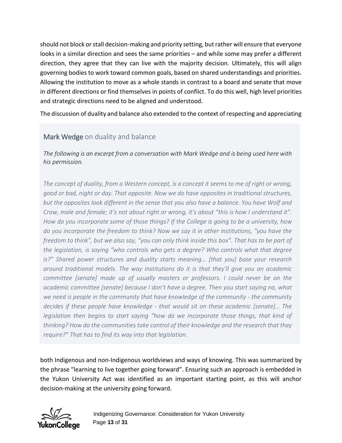should not block or stall decision-making and priority setting, but rather will ensure that everyone looks in a similar direction and sees the same priorities – and while some may prefer a different direction, they agree that they can live with the majority decision. Ultimately, this will align governing bodies to work toward common goals, based on shared understandings and priorities. Allowing the institution to move as a whole stands in contrast to a board and senate that move in different directions or find themselves in points of conflict. To do this well, high level priorities and strategic directions need to be aligned and understood.

The discussion of duality and balance also extended to the context of respecting and appreciating

## Mark Wedge on duality and balance

*The following is an excerpt from a conversation with Mark Wedge and is being used here with his permission.*

*The concept of duality, from a Western concept, is a concept it seems to me of right or wrong, good or bad, night or day. That opposite. Now we do have opposites in traditional structures, but the opposites look different in the sense that you also have a balance. You have Wolf and Crow, male and female; it's not about right or wrong, it's about "this is how I understand it". How do you incorporate some of those things? If the College is going to be a university, how do you incorporate the freedom to think? Now we say it in other institutions, "you have the freedom to think", but we also say, "you can only think inside this box". That has to be part of the legislation, is saying "who controls who gets a degree? Who controls what that degree is?" Shared power structures and duality starts meaning… [that you] base your research around traditional models. The way institutions do it is that they'll give you an academic committee [senate] made up of usually masters or professors. I could never be on the academic committee [senate] because I don't have a degree. Then you start saying no, what we need is people in the community that have knowledge of the community - the community decides if these people have knowledge - that would sit on these academic [senate]… The legislation then begins to start saying "how do we incorporate those things, that kind of thinking? How do the communities take control of their knowledge and the research that they require?" That has to find its way into that legislation.*

both Indigenous and non-Indigenous worldviews and ways of knowing. This was summarized by the phrase "learning to live together going forward". Ensuring such an approach is embedded in the Yukon University Act was identified as an important starting point, as this will anchor decision-making at the university going forward.

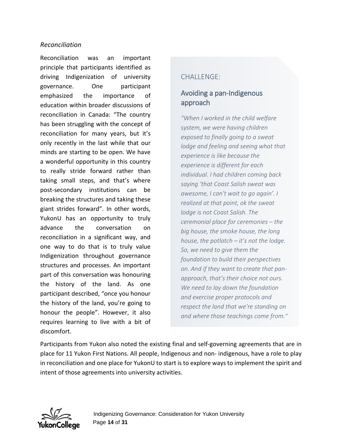#### <span id="page-14-0"></span>*Reconciliation*

Reconciliation was an important principle that participants identified as driving Indigenization of university governance. One participant emphasized the importance of education within broader discussions of reconciliation in Canada: "The country has been struggling with the concept of reconciliation for many years, but it's only recently in the last while that our minds are starting to be open. We have a wonderful opportunity in this country to really stride forward rather than taking small steps, and that's where post-secondary institutions can be breaking the structures and taking these giant strides forward". In other words, YukonU has an opportunity to truly advance the conversation on reconciliation in a significant way, and one way to do that is to truly value Indigenization throughout governance structures and processes. An important part of this conversation was honouring the history of the land. As one participant described, "once you honour the history of the land, you're going to honour the people". However, it also requires learning to live with a bit of discomfort.

#### CHALL FNGF:

## Avoiding a pan-Indigenous approach

*"When I worked in the child welfare system, we were having children exposed to finally going to a sweat lodge and feeling and seeing what that experience is like because the experience is different for each individual. I had children coming back saying 'that Coast Salish sweat was awesome, I can't wait to go again'. I realized at that point, ok the sweat lodge is not Coast Salish. The ceremonial place for ceremonies – the big house, the smoke house, the long house, the potlatch – it's not the lodge. So, we need to give them the foundation to build their perspectives on. And if they want to create that panapproach, that's their choice not ours. We need to lay down the foundation and exercise proper protocols and respect the land that we're standing on and where those teachings come from."*

Participants from Yukon also noted the existing final and self-governing agreements that are in place for 11 Yukon First Nations. All people, Indigenous and non- indigenous, have a role to play in reconciliation and one place for YukonU to start is to explore ways to implement the spirit and intent of those agreements into university activities.

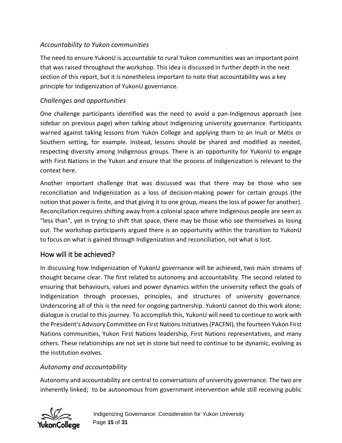#### <span id="page-15-0"></span>*Accountability to Yukon communities*

The need to ensure YukonU is accountable to rural Yukon communities was an important point that was raised throughout the workshop. This idea is discussed in further depth in the next section of this report, but it is nonetheless important to note that accountability was a key principle for Indigenization of YukonU governance.

#### <span id="page-15-1"></span>*Challenges and opportunities*

One challenge participants identified was the need to avoid a pan-Indigenous approach (see sidebar on previous page) when talking about Indigenizing university governance. Participants warned against taking lessons from Yukon College and applying them to an Inuit or Métis or Southern setting, for example. Instead, lessons should be shared and modified as needed, respecting diversity among Indigenous groups. There is an opportunity for YukonU to engage with First Nations in the Yukon and ensure that the process of Indigenization is relevant to the context here.

Another important challenge that was discussed was that there may be those who see reconciliation and Indigenization as a loss of decision-making power for certain groups (the notion that power is finite, and that giving it to one group, means the loss of power for another). Reconciliation requires shifting away from a colonial space where Indigenous people are seen as "less than", yet in trying to shift that space, there may be those who see themselves as losing out. The workshop participants argued there is an opportunity within the transition to YukonU to focus on what is gained through Indigenization and reconciliation, not what is lost.

## <span id="page-15-2"></span>How will it be achieved?

In discussing how Indigenization of YukonU governance will be achieved, two main streams of thought became clear. The first related to autonomy and accountability. The second related to ensuring that behaviours, values and power dynamics within the university reflect the goals of Indigenization through processes, principles, and structures of university governance. Underscoring all of this is the need for ongoing partnership. YukonU cannot do this work alone; dialogue is crucial to this journey. To accomplish this, YukonU will need to continue to work with the President's Advisory Committee on First Nations Initiatives(PACFNI), the fourteen Yukon First Nations communities, Yukon First Nations leadership, First Nations representatives, and many others. These relationships are not set in stone but need to continue to be dynamic, evolving as the institution evolves.

#### <span id="page-15-3"></span>*Autonomy and accountability*

Autonomy and accountability are central to conversations of university governance. The two are inherently linked; to be autonomous from government intervention while still receiving public

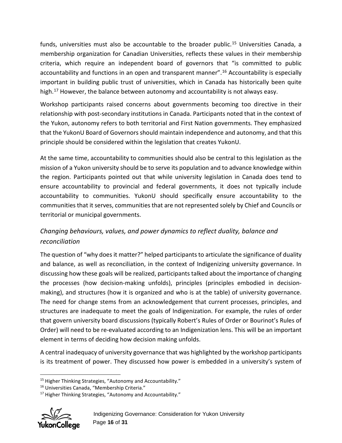funds, universities must also be accountable to the broader public.<sup>[15](#page-16-1)</sup> Universities Canada, a membership organization for Canadian Universities, reflects these values in their membership criteria, which require an independent board of governors that "is committed to public accountability and functions in an open and transparent manner". [16](#page-16-2) Accountability is especially important in building public trust of universities, which in Canada has historically been quite high.<sup>[17](#page-16-3)</sup> However, the balance between autonomy and accountability is not always easy.

Workshop participants raised concerns about governments becoming too directive in their relationship with post-secondary institutions in Canada. Participants noted that in the context of the Yukon, autonomy refers to both territorial and First Nation governments. They emphasized that the YukonU Board of Governors should maintain independence and autonomy, and that this principle should be considered within the legislation that creates YukonU.

At the same time, accountability to communities should also be central to this legislation as the mission of a Yukon university should be to serve its population and to advance knowledge within the region. Participants pointed out that while university legislation in Canada does tend to ensure accountability to provincial and federal governments, it does not typically include accountability to communities. YukonU should specifically ensure accountability to the communities that it serves, communities that are not represented solely by Chief and Councils or territorial or municipal governments.

## <span id="page-16-0"></span>*Changing behaviours, values, and power dynamics to reflect duality, balance and reconciliation*

The question of "why does it matter?" helped participants to articulate the significance of duality and balance, as well as reconciliation, in the context of Indigenizing university governance. In discussing how these goals will be realized, participants talked about the importance of changing the processes (how decision-making unfolds), principles (principles embodied in decisionmaking), and structures (how it is organized and who is at the table) of university governance. The need for change stems from an acknowledgement that current processes, principles, and structures are inadequate to meet the goals of Indigenization. For example, the rules of order that govern university board discussions (typically Robert's Rules of Order or Bourinot's Rules of Order) will need to be re-evaluated according to an Indigenization lens. This will be an important element in terms of deciding how decision making unfolds.

A central inadequacy of university governance that was highlighted by the workshop participants is its treatment of power. They discussed how power is embedded in a university's system of

<span id="page-16-3"></span><span id="page-16-2"></span><span id="page-16-1"></span><sup>&</sup>lt;sup>17</sup> Higher Thinking Strategies, "Autonomy and Accountability."



 $\overline{a}$ <sup>15</sup> Higher Thinking Strategies, "Autonomy and Accountability."

<sup>16</sup> Universities Canada, "Membership Criteria."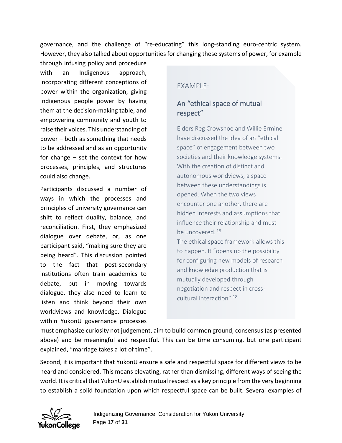governance, and the challenge of "re-educating" this long-standing euro-centric system. However, they also talked about opportunities for changing these systems of power, for example

through infusing policy and procedure with an Indigenous approach, incorporating different conceptions of power within the organization, giving Indigenous people power by having them at the decision-making table, and empowering community and youth to raise their voices. This understanding of power – both as something that needs to be addressed and as an opportunity for change – set the context for how processes, principles, and structures could also change.

Participants discussed a number of ways in which the processes and principles of university governance can shift to reflect duality, balance, and reconciliation. First, they emphasized dialogue over debate, or, as one participant said, "making sure they are being heard". This discussion pointed to the fact that post-secondary institutions often train academics to debate, but in moving towards dialogue, they also need to learn to listen and think beyond their own worldviews and knowledge. Dialogue within YukonU governance processes

#### EXAMPLE:

#### An "ethical space of mutual respect"

Elders Reg Crowshoe and Willie Ermine have discussed the idea of an "ethical space" of engagement between two societies and their knowledge systems. With the creation of distinct and autonomous worldviews, a space between these understandings is opened. When the two views encounter one another, there are hidden interests and assumptions that influence their relationship and must be uncovered.<sup>18</sup> The ethical space framework allows this to happen. It "opens up the possibility for configuring new models of research and knowledge production that is mutually developed through negotiation and respect in cross-

cultural interaction".18

must emphasize curiosity not judgement, aim to build common ground, consensus (as presented above) and be meaningful and respectful. This can be time consuming, but one participant explained, "marriage takes a lot of time".

Second, it is important that YukonU ensure a safe and respectful space for different views to be heard and considered. This means elevating, rather than dismissing, different ways of seeing the world. It is critical that YukonU establish mutual respect as a key principle from the very beginning to establish a solid foundation upon which respectful space can be built. Several examples of

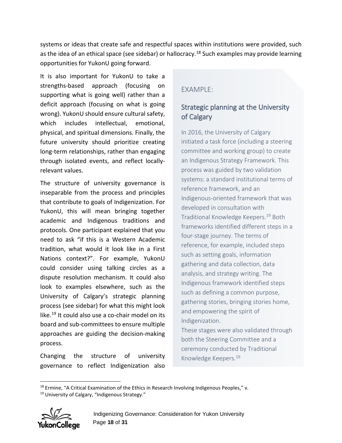systems or ideas that create safe and respectful spaces within institutions were provided, such as the idea of an ethical space (see sidebar) or hallocracy.<sup>[18](#page-18-0)</sup> Such examples may provide learning opportunities for YukonU going forward.

It is also important for YukonU to take a strengths-based approach (focusing on supporting what is going well) rather than a deficit approach (focusing on what is going wrong). YukonU should ensure cultural safety, which includes intellectual, emotional, physical, and spiritual dimensions. Finally, the future university should prioritize creating long-term relationships, rather than engaging through isolated events, and reflect locallyrelevant values.

The structure of university governance is inseparable from the process and principles that contribute to goals of Indigenization. For YukonU, this will mean bringing together academic and Indigenous traditions and protocols. One participant explained that you need to ask "if this is a Western Academic tradition, what would it look like in a First Nations context?". For example, YukonU could consider using talking circles as a dispute resolution mechanism. It could also look to examples elsewhere, such as the University of Calgary's strategic planning process (see sidebar) for what this might look like.<sup>[19](#page-18-1)</sup> It could also use a co-chair model on its board and sub-committees to ensure multiple approaches are guiding the decision-making process.

Changing the structure of university governance to reflect Indigenization also

### EXAMPLE:

## Strategic planning at the University of Calgary

In 2016, the University of Calgary initiated a task force (including a steering committee and working group) to create an Indigenous Strategy Framework. This process was guided by two validation systems: a standard institutional terms of reference framework, and an Indigenous-oriented framework that was developed in consultation with Traditional Knowledge Keepers.19 Both frameworks identified different steps in a four-stage journey. The terms of reference, for example, included steps such as setting goals, information gathering and data collection, data analysis, and strategy writing. The Indigenous framework identified steps such as defining a common purpose, gathering stories, bringing stories home, and empowering the spirit of Indigenization.

These stages were also validated through both the Steering Committee and a ceremony conducted by Traditional Knowledge Keepers.19

<span id="page-18-1"></span><span id="page-18-0"></span><sup>&</sup>lt;sup>19</sup> University of Calgary, "Indigenous Strategy."



 $\overline{a}$ 

 $18$  Ermine, "A Critical Examination of the Ethics in Research Involving Indigenous Peoples," v.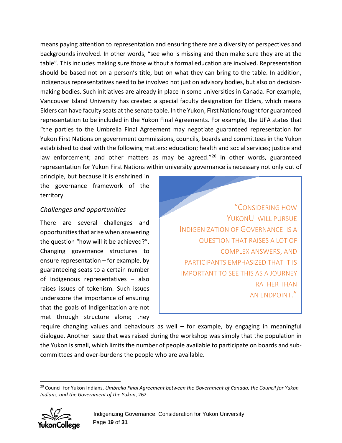means paying attention to representation and ensuring there are a diversity of perspectives and backgrounds involved. In other words, "see who is missing and then make sure they are at the table". This includes making sure those without a formal education are involved. Representation should be based not on a person's title, but on what they can bring to the table. In addition, Indigenous representatives need to be involved not just on advisory bodies, but also on decisionmaking bodies. Such initiatives are already in place in some universities in Canada. For example, Vancouver Island University has created a special faculty designation for Elders, which means Elders can have faculty seats at the senate table. In the Yukon, First Nations fought for guaranteed representation to be included in the Yukon Final Agreements. For example, the UFA states that "the parties to the Umbrella Final Agreement may negotiate guaranteed representation for Yukon First Nations on government commissions, councils, boards and committees in the Yukon established to deal with the following matters: education; health and social services; justice and law enforcement; and other matters as may be agreed."<sup>[20](#page-19-1)</sup> In other words, guaranteed representation for Yukon First Nations within university governance is necessary not only out of

principle, but because it is enshrined in the governance framework of the territory.

#### <span id="page-19-0"></span>*Challenges and opportunities*

There are several challenges and opportunities that arise when answering the question "how will it be achieved?". Changing governance structures to ensure representation – for example, by guaranteeing seats to a certain number of Indigenous representatives – also raises issues of tokenism. Such issues underscore the importance of ensuring that the goals of Indigenization are not met through structure alone; they

"CONSIDERING HOW YUKONU WILL PURSUE INDIGENIZATION OF GOVERNANCE IS A QUESTION THAT RAISES A LOT OF COMPLEX ANSWERS, AND PARTICIPANTS EMPHASIZED THAT IT IS IMPORTANT TO SEE THIS AS A JOURNEY RATHER THAN AN ENDPOINT."

require changing values and behaviours as well  $-$  for example, by engaging in meaningful dialogue. Another issue that was raised during the workshop was simply that the population in the Yukon is small, which limits the number of people available to participate on boards and subcommittees and over-burdens the people who are available.

<span id="page-19-1"></span> $\overline{a}$ <sup>20</sup> Council for Yukon Indians, *Umbrella Final Agreement between the Government of Canada, the Council for Yukon Indians, and the Government of the Yukon*, 262.

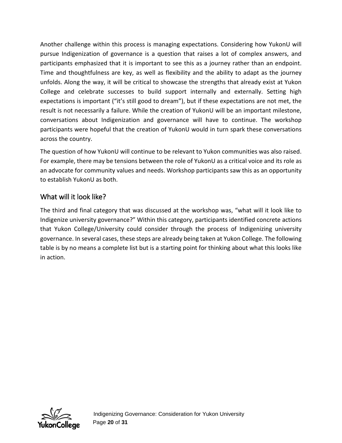Another challenge within this process is managing expectations. Considering how YukonU will pursue Indigenization of governance is a question that raises a lot of complex answers, and participants emphasized that it is important to see this as a journey rather than an endpoint. Time and thoughtfulness are key, as well as flexibility and the ability to adapt as the journey unfolds. Along the way, it will be critical to showcase the strengths that already exist at Yukon College and celebrate successes to build support internally and externally. Setting high expectations is important ("it's still good to dream"), but if these expectations are not met, the result is not necessarily a failure. While the creation of YukonU will be an important milestone, conversations about Indigenization and governance will have to continue. The workshop participants were hopeful that the creation of YukonU would in turn spark these conversations across the country.

The question of how YukonU will continue to be relevant to Yukon communities was also raised. For example, there may be tensions between the role of YukonU as a critical voice and its role as an advocate for community values and needs. Workshop participants saw this as an opportunity to establish YukonU as both.

## <span id="page-20-0"></span>What will it look like?

The third and final category that was discussed at the workshop was, "what will it look like to Indigenize university governance?" Within this category, participants identified concrete actions that Yukon College/University could consider through the process of Indigenizing university governance. In several cases, these steps are already being taken at Yukon College. The following table is by no means a complete list but is a starting point for thinking about what this looks like in action.

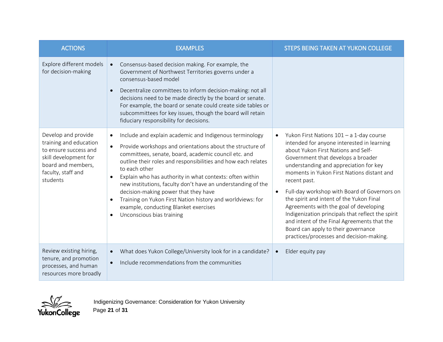| <b>ACTIONS</b>                                                                                                                                          | <b>EXAMPLES</b>                                                                                                                                                                                                                                                                                                                                                                                                                                                                                                                                                                                               | STEPS BEING TAKEN AT YUKON COLLEGE                                                                                                                                                                                                                                                                                                                                                                                                                                                                                                                                                                                      |
|---------------------------------------------------------------------------------------------------------------------------------------------------------|---------------------------------------------------------------------------------------------------------------------------------------------------------------------------------------------------------------------------------------------------------------------------------------------------------------------------------------------------------------------------------------------------------------------------------------------------------------------------------------------------------------------------------------------------------------------------------------------------------------|-------------------------------------------------------------------------------------------------------------------------------------------------------------------------------------------------------------------------------------------------------------------------------------------------------------------------------------------------------------------------------------------------------------------------------------------------------------------------------------------------------------------------------------------------------------------------------------------------------------------------|
| Explore different models<br>for decision-making                                                                                                         | Consensus-based decision making. For example, the<br>$\bullet$<br>Government of Northwest Territories governs under a<br>consensus-based model<br>Decentralize committees to inform decision-making: not all<br>decisions need to be made directly by the board or senate.<br>For example, the board or senate could create side tables or<br>subcommittees for key issues, though the board will retain<br>fiduciary responsibility for decisions.                                                                                                                                                           |                                                                                                                                                                                                                                                                                                                                                                                                                                                                                                                                                                                                                         |
| Develop and provide<br>training and education<br>to ensure success and<br>skill development for<br>board and members,<br>faculty, staff and<br>students | Include and explain academic and Indigenous terminology<br>$\bullet$<br>Provide workshops and orientations about the structure of<br>$\bullet$<br>committees, senate, board, academic council etc. and<br>outline their roles and responsibilities and how each relates<br>to each other<br>Explain who has authority in what contexts: often within<br>$\bullet$<br>new institutions, faculty don't have an understanding of the<br>decision-making power that they have<br>Training on Yukon First Nation history and worldviews: for<br>example, conducting Blanket exercises<br>Unconscious bias training | Yukon First Nations $101 - a$ 1-day course<br>intended for anyone interested in learning<br>about Yukon First Nations and Self-<br>Government that develops a broader<br>understanding and appreciation for key<br>moments in Yukon First Nations distant and<br>recent past.<br>Full-day workshop with Board of Governors on<br>$\bullet$<br>the spirit and intent of the Yukon Final<br>Agreements with the goal of developing<br>Indigenization principals that reflect the spirit<br>and intent of the Final Agreements that the<br>Board can apply to their governance<br>practices/processes and decision-making. |
| Review existing hiring,<br>tenure, and promotion<br>processes, and human<br>resources more broadly                                                      | What does Yukon College/University look for in a candidate?<br>$\bullet$<br>Include recommendations from the communities                                                                                                                                                                                                                                                                                                                                                                                                                                                                                      | Elder equity pay                                                                                                                                                                                                                                                                                                                                                                                                                                                                                                                                                                                                        |

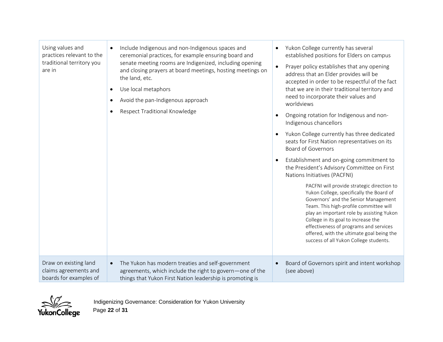| Using values and<br>practices relevant to the<br>traditional territory you<br>are in | Include Indigenous and non-Indigenous spaces and<br>$\bullet$<br>ceremonial practices, for example ensuring board and<br>senate meeting rooms are Indigenized, including opening<br>and closing prayers at board meetings, hosting meetings on<br>the land, etc.<br>Use local metaphors<br>$\bullet$<br>Avoid the pan-Indigenous approach<br>Respect Traditional Knowledge | Yukon College currently has several<br>established positions for Elders on campus<br>Prayer policy establishes that any opening<br>address that an Elder provides will be<br>accepted in order to be respectful of the fact<br>that we are in their traditional territory and<br>need to incorporate their values and<br>worldviews<br>Ongoing rotation for Indigenous and non-<br>Indigenous chancellors<br>Yukon College currently has three dedicated<br>seats for First Nation representatives on its<br><b>Board of Governors</b><br>Establishment and on-going commitment to<br>the President's Advisory Committee on First<br>Nations Initiatives (PACFNI)<br>PACFNI will provide strategic direction to<br>Yukon College, specifically the Board of<br>Governors' and the Senior Management<br>Team. This high-profile committee will<br>play an important role by assisting Yukon<br>College in its goal to increase the<br>effectiveness of programs and services<br>offered, with the ultimate goal being the<br>success of all Yukon College students. |
|--------------------------------------------------------------------------------------|----------------------------------------------------------------------------------------------------------------------------------------------------------------------------------------------------------------------------------------------------------------------------------------------------------------------------------------------------------------------------|--------------------------------------------------------------------------------------------------------------------------------------------------------------------------------------------------------------------------------------------------------------------------------------------------------------------------------------------------------------------------------------------------------------------------------------------------------------------------------------------------------------------------------------------------------------------------------------------------------------------------------------------------------------------------------------------------------------------------------------------------------------------------------------------------------------------------------------------------------------------------------------------------------------------------------------------------------------------------------------------------------------------------------------------------------------------|
| Draw on existing land<br>claims agreements and<br>boards for examples of             | The Yukon has modern treaties and self-government<br>$\bullet$<br>agreements, which include the right to govern-one of the<br>things that Yukon First Nation leadership is promoting is                                                                                                                                                                                    | Board of Governors spirit and intent workshop<br>(see above)                                                                                                                                                                                                                                                                                                                                                                                                                                                                                                                                                                                                                                                                                                                                                                                                                                                                                                                                                                                                       |

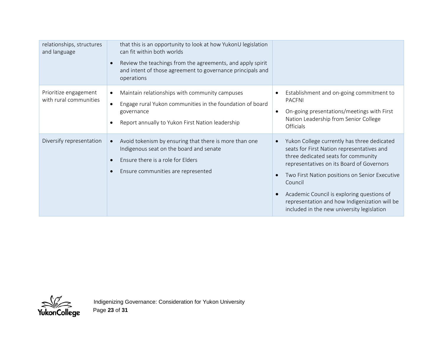| relationships, structures<br>and language       | that this is an opportunity to look at how YukonU legislation<br>can fit within both worlds<br>Review the teachings from the agreements, and apply spirit<br>and intent of those agreement to governance principals and<br>operations |                                                                                                                                                                                                                                                                                                                                                                                         |
|-------------------------------------------------|---------------------------------------------------------------------------------------------------------------------------------------------------------------------------------------------------------------------------------------|-----------------------------------------------------------------------------------------------------------------------------------------------------------------------------------------------------------------------------------------------------------------------------------------------------------------------------------------------------------------------------------------|
| Prioritize engagement<br>with rural communities | Maintain relationships with community campuses<br>$\bullet$<br>Engage rural Yukon communities in the foundation of board<br>governance<br>Report annually to Yukon First Nation leadership                                            | Establishment and on-going commitment to<br><b>PACFNI</b><br>On-going presentations/meetings with First<br>$\bullet$<br>Nation Leadership from Senior College<br>Officials                                                                                                                                                                                                              |
| Diversify representation                        | Avoid tokenism by ensuring that there is more than one<br>Indigenous seat on the board and senate<br>Ensure there is a role for Elders<br>Ensure communities are represented                                                          | Yukon College currently has three dedicated<br>seats for First Nation representatives and<br>three dedicated seats for community<br>representatives on its Board of Governors<br>Two First Nation positions on Senior Executive<br>Council<br>Academic Council is exploring questions of<br>representation and how Indigenization will be<br>included in the new university legislation |

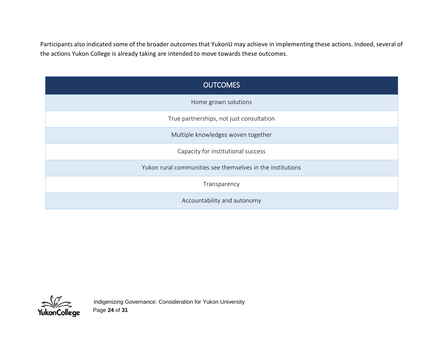Participants also indicated some of the broader outcomes that YukonU may achieve in implementing these actions. Indeed, several of the actions Yukon College is already taking are intended to move towards these outcomes.

| <b>OUTCOMES</b>                                            |
|------------------------------------------------------------|
| Home grown solutions                                       |
| True partnerships, not just consultation                   |
| Multiple knowledges woven together                         |
| Capacity for institutional success                         |
| Yukon rural communities see themselves in the institutions |
| Transparency                                               |
| Accountability and autonomy                                |

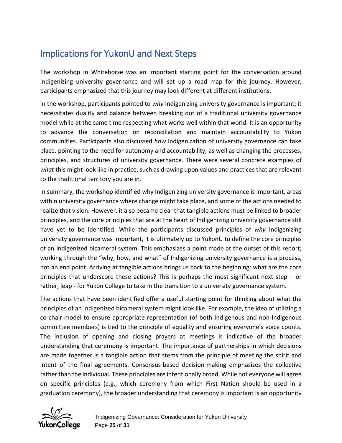# <span id="page-25-0"></span>Implications for YukonU and Next Steps

The workshop in Whitehorse was an important starting point for the conversation around Indigenizing university governance and will set up a road map for this journey. However, participants emphasized that this journey may look different at different institutions.

In the workshop, participants pointed to *why* Indigenizing university governance is important; it necessitates duality and balance between breaking out of a traditional university governance model while at the same time respecting what works well within that world. It is an opportunity to advance the conversation on reconciliation and maintain accountability to Yukon communities. Participants also discussed *how* Indigenization of university governance can take place, pointing to the need for autonomy and accountability, as well as changing the processes, principles, and structures of university governance. There were several concrete examples of *what* this might look like in practice, such as drawing upon values and practices that are relevant to the traditional territory you are in.

In summary, the workshop identified why Indigenizing university governance is important, areas within university governance where change might take place, and some of the actions needed to realize that vision. However, it also became clear that tangible actions must be linked to broader principles, and the core principles that are at the heart of Indigenizing university governance still have yet to be identified. While the participants discussed principles of *why* Indigenizing university governance was important, it is ultimately up to YukonU to define the core principles of an Indigenized bicameral system. This emphasizes a point made at the outset of this report; working through the "why, how, and what" of Indigenizing university governance is a process, not an end point. Arriving at tangible actions brings us back to the beginning: what are the core principles that underscore these actions? This is perhaps the most significant next step – or rather, leap - for Yukon College to take in the transition to a university governance system.

The actions that have been identified offer a useful starting point for thinking about what the principles of an Indigenized bicameral system might look like. For example, the idea of utilizing a co-chair model to ensure appropriate representation (of both Indigenous and non-Indigenous committee members) is tied to the principle of equality and ensuring everyone's voice counts. The inclusion of opening and closing prayers at meetings is indicative of the broader understanding that ceremony is important. The importance of partnerships in which decisions are made together is a tangible action that stems from the principle of meeting the spirit and intent of the final agreements. Consensus-based decision-making emphasizes the collective rather than the individual. These principles are intentionally broad. While not everyone will agree on specific principles (e.g., which ceremony from which First Nation should be used in a graduation ceremony), the broader understanding that ceremony is important is an opportunity

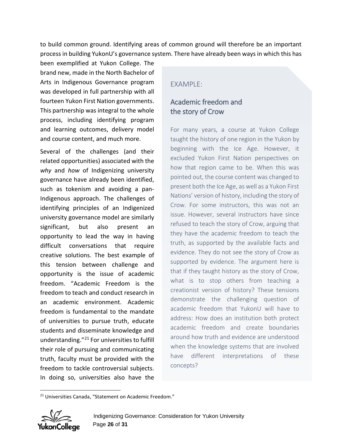to build common ground. Identifying areas of common ground will therefore be an important process in building YukonU's governance system. There have already been ways in which this has

been exemplified at Yukon College. The brand new, made in the North Bachelor of Arts in Indigenous Governance program was developed in full partnership with all fourteen Yukon First Nation governments. This partnership was integral to the whole process, including identifying program and learning outcomes, delivery model and course content, and much more.

Several of the challenges (and their related opportunities) associated with the *why* and *how* of Indigenizing university governance have already been identified, such as tokenism and avoiding a pan-Indigenous approach. The challenges of identifying principles of an Indigenized university governance model are similarly significant, but also present an opportunity to lead the way in having difficult conversations that require creative solutions. The best example of this tension between challenge and opportunity is the issue of academic freedom. "Academic Freedom is the freedom to teach and conduct research in an academic environment. Academic freedom is fundamental to the mandate of universities to pursue truth, educate students and disseminate knowledge and understanding."[21](#page-26-0) For universities to fulfill their role of pursuing and communicating truth, faculty must be provided with the freedom to tackle controversial subjects. In doing so, universities also have the

#### $FXAMPIF$

## Academic freedom and the story of Crow

For many years, a course at Yukon College taught the history of one region in the Yukon by beginning with the Ice Age. However, it excluded Yukon First Nation perspectives on how that region came to be. When this was pointed out, the course content was changed to present both the Ice Age, as well as a Yukon First Nations' version of history, including the story of Crow. For some instructors, this was not an issue. However, several instructors have since refused to teach the story of Crow, arguing that they have the academic freedom to teach the truth, as supported by the available facts and evidence. They do not see the story of Crow as supported by evidence. The argument here is that if they taught history as the story of Crow, what is to stop others from teaching a creationist version of history? These tensions demonstrate the challenging question of academic freedom that YukonU will have to address: How does an institution both protect academic freedom and create boundaries around how truth and evidence are understood when the knowledge systems that are involved have different interpretations of these concepts?

<span id="page-26-0"></span><sup>&</sup>lt;sup>21</sup> Universities Canada, "Statement on Academic Freedom."



 $\overline{a}$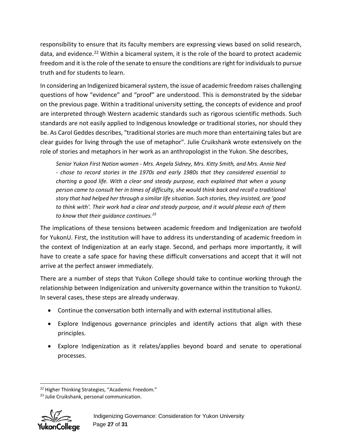responsibility to ensure that its faculty members are expressing views based on solid research, data, and evidence.<sup>22</sup> Within a bicameral system, it is the role of the board to protect academic freedom and it is the role of the senate to ensure the conditions are right for individuals to pursue truth and for students to learn.

In considering an Indigenized bicameral system, the issue of academic freedom raises challenging questions of how "evidence" and "proof" are understood. This is demonstrated by the sidebar on the previous page. Within a traditional university setting, the concepts of evidence and proof are interpreted through Western academic standards such as rigorous scientific methods. Such standards are not easily applied to Indigenous knowledge or traditional stories, nor should they be. As Carol Geddes describes, "traditional stories are much more than entertaining tales but are clear guides for living through the use of metaphor". Julie Cruikshank wrote extensively on the role of stories and metaphors in her work as an anthropologist in the Yukon. She describes,

*Senior Yukon First Nation women - Mrs. Angela Sidney, Mrs. Kitty Smith, and Mrs. Annie Ned - chose to record stories in the 1970s and early 1980s that they considered essential to charting a good life. With a clear and steady purpose, each explained that when a young person came to consult her in times of difficulty, she would think back and recall a traditional story that had helped her through a similar life situation. Such stories, they insisted, are 'good to think with'. Their work had a clear and steady purpose, and it would please each of them to know that their guidance continues.[23](#page-27-1)*

The implications of these tensions between academic freedom and Indigenization are twofold for YukonU. First, the institution will have to address its understanding of academic freedom in the context of Indigenization at an early stage. Second, and perhaps more importantly, it will have to create a safe space for having these difficult conversations and accept that it will not arrive at the perfect answer immediately.

There are a number of steps that Yukon College should take to continue working through the relationship between Indigenization and university governance within the transition to YukonU. In several cases, these steps are already underway.

- Continue the conversation both internally and with external institutional allies.
- Explore Indigenous governance principles and identify actions that align with these principles.
- Explore Indigenization as it relates/applies beyond board and senate to operational processes.

<span id="page-27-1"></span><span id="page-27-0"></span><sup>&</sup>lt;sup>23</sup> Julie Cruikshank, personal communication.



 $\ddot{\phantom{a}}$ <sup>22</sup> Higher Thinking Strategies, "Academic Freedom."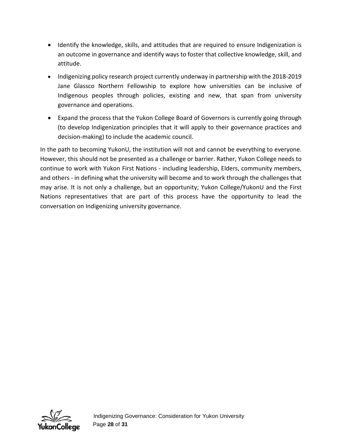- Identify the knowledge, skills, and attitudes that are required to ensure Indigenization is an outcome in governance and identify ways to foster that collective knowledge, skill, and attitude.
- Indigenizing policy research project currently underway in partnership with the 2018-2019 Jane Glassco Northern Fellowship to explore how universities can be inclusive of Indigenous peoples through policies, existing and new, that span from university governance and operations.
- Expand the process that the Yukon College Board of Governors is currently going through (to develop Indigenization principles that it will apply to their governance practices and decision-making) to include the academic council.

In the path to becoming YukonU, the institution will not and cannot be everything to everyone. However, this should not be presented as a challenge or barrier. Rather, Yukon College needs to continue to work with Yukon First Nations - including leadership, Elders, community members, and others - in defining what the university will become and to work through the challenges that may arise. It is not only a challenge, but an opportunity; Yukon College/YukonU and the First Nations representatives that are part of this process have the opportunity to lead the conversation on Indigenizing university governance.

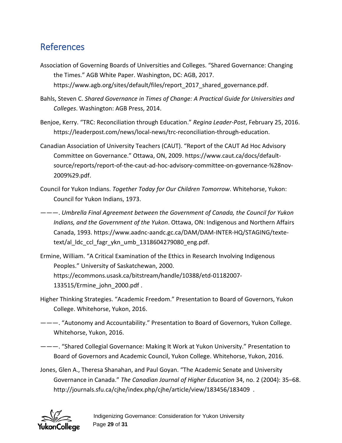# <span id="page-29-0"></span>**References**

- Association of Governing Boards of Universities and Colleges. "Shared Governance: Changing the Times." AGB White Paper. Washington, DC: AGB, 2017. https://www.agb.org/sites/default/files/report\_2017\_shared\_governance.pdf.
- Bahls, Steven C. *Shared Governance in Times of Change: A Practical Guide for Universities and Colleges*. Washington: AGB Press, 2014.
- Benjoe, Kerry. "TRC: Reconciliation through Education." *Regina Leader-Post*, February 25, 2016. https://leaderpost.com/news/local-news/trc-reconciliation-through-education.
- Canadian Association of University Teachers (CAUT). "Report of the CAUT Ad Hoc Advisory Committee on Governance." Ottawa, ON, 2009. https://www.caut.ca/docs/defaultsource/reports/report-of-the-caut-ad-hoc-advisory-committee-on-governance-%28nov-2009%29.pdf.
- Council for Yukon Indians. *Together Today for Our Children Tomorrow*. Whitehorse, Yukon: Council for Yukon Indians, 1973.
- ———. *Umbrella Final Agreement between the Government of Canada, the Council for Yukon Indians, and the Government of the Yukon*. Ottawa, ON: Indigenous and Northern Affairs Canada, 1993. https://www.aadnc-aandc.gc.ca/DAM/DAM-INTER-HQ/STAGING/textetext/al\_ldc\_ccl\_fagr\_ykn\_umb\_1318604279080\_eng.pdf.
- Ermine, William. "A Critical Examination of the Ethics in Research Involving Indigenous Peoples." University of Saskatchewan, 2000. https://ecommons.usask.ca/bitstream/handle/10388/etd-01182007- 133515/Ermine\_john\_2000.pdf .
- Higher Thinking Strategies. "Academic Freedom." Presentation to Board of Governors, Yukon College. Whitehorse, Yukon, 2016.
- ———. "Autonomy and Accountability." Presentation to Board of Governors, Yukon College. Whitehorse, Yukon, 2016.
- ———. "Shared Collegial Governance: Making It Work at Yukon University." Presentation to Board of Governors and Academic Council, Yukon College. Whitehorse, Yukon, 2016.
- Jones, Glen A., Theresa Shanahan, and Paul Goyan. "The Academic Senate and University Governance in Canada." *The Canadian Journal of Higher Education* 34, no. 2 (2004): 35–68. http://journals.sfu.ca/cjhe/index.php/cjhe/article/view/183456/183409 .

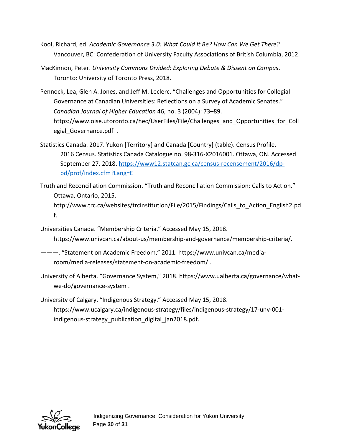- Kool, Richard, ed. *Academic Governance 3.0: What Could It Be? How Can We Get There?* Vancouver, BC: Confederation of University Faculty Associations of British Columbia, 2012.
- MacKinnon, Peter. *University Commons Divided: Exploring Debate & Dissent on Campus*. Toronto: University of Toronto Press, 2018.
- Pennock, Lea, Glen A. Jones, and Jeff M. Leclerc. "Challenges and Opportunities for Collegial Governance at Canadian Universities: Reflections on a Survey of Academic Senates." *Canadian Journal of Higher Education* 46, no. 3 (2004): 73–89. https://www.oise.utoronto.ca/hec/UserFiles/File/Challenges\_and\_Opportunities\_for\_Coll egial Governance.pdf .
- Statistics Canada. 2017. Yukon [Territory] and Canada [Country] (table). Census Profile. 2016 Census. Statistics Canada Catalogue no. 98-316-X2016001. Ottawa, ON. Accessed September 27, 2018. [https://www12.statcan.gc.ca/census-recensement/2016/dp](https://www12.statcan.gc.ca/census-recensement/2016/dp-pd/prof/index.cfm?Lang=E)[pd/prof/index.cfm?Lang=E](https://www12.statcan.gc.ca/census-recensement/2016/dp-pd/prof/index.cfm?Lang=E)
- Truth and Reconciliation Commission. "Truth and Reconciliation Commission: Calls to Action." Ottawa, Ontario, 2015. http://www.trc.ca/websites/trcinstitution/File/2015/Findings/Calls\_to\_Action\_English2.pd f.

Universities Canada. "Membership Criteria." Accessed May 15, 2018. https://www.univcan.ca/about-us/membership-and-governance/membership-criteria/.

- ———. "Statement on Academic Freedom," 2011. https://www.univcan.ca/mediaroom/media-releases/statement-on-academic-freedom/ .
- University of Alberta. "Governance System," 2018. https://www.ualberta.ca/governance/whatwe-do/governance-system .

University of Calgary. "Indigenous Strategy." Accessed May 15, 2018. https://www.ucalgary.ca/indigenous-strategy/files/indigenous-strategy/17-unv-001 indigenous-strategy\_publication\_digital\_jan2018.pdf.